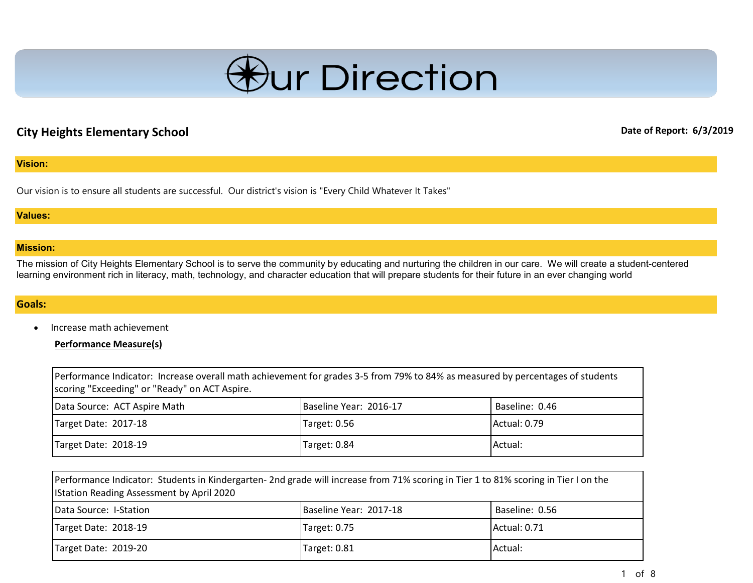

# **City Heights Elementary School Date of Report: 6/3/2019**

#### **Vision:**

Our vision is to ensure all students are successful. Our district's vision is "Every Child Whatever It Takes"

#### **Values:**

#### **Mission:**

The mission of City Heights Elementary School is to serve the community by educating and nurturing the children in our care. We will create a student-centered learning environment rich in literacy, math, technology, and character education that will prepare students for their future in an ever changing world

#### **Goals:**

• Increase math achievement

**Performance Measure(s)**

| Performance Indicator: Increase overall math achievement for grades 3-5 from 79% to 84% as measured by percentages of students<br>scoring "Exceeding" or "Ready" on ACT Aspire. |                        |                |
|---------------------------------------------------------------------------------------------------------------------------------------------------------------------------------|------------------------|----------------|
| Data Source: ACT Aspire Math                                                                                                                                                    | Baseline Year: 2016-17 | Baseline: 0.46 |
| Target Date: 2017-18                                                                                                                                                            | Target: 0.56           | Actual: 0.79   |
| Target Date: 2018-19                                                                                                                                                            | Target: 0.84           | Actual:        |

| Performance Indicator: Students in Kindergarten- 2nd grade will increase from 71% scoring in Tier 1 to 81% scoring in Tier I on the<br><b>IStation Reading Assessment by April 2020</b> |                        |                |
|-----------------------------------------------------------------------------------------------------------------------------------------------------------------------------------------|------------------------|----------------|
| Data Source: I-Station                                                                                                                                                                  | Baseline Year: 2017-18 | Baseline: 0.56 |
| Target Date: 2018-19                                                                                                                                                                    | Target: 0.75           | Actual: 0.71   |
| Target Date: 2019-20                                                                                                                                                                    | Target: 0.81           | Actual:        |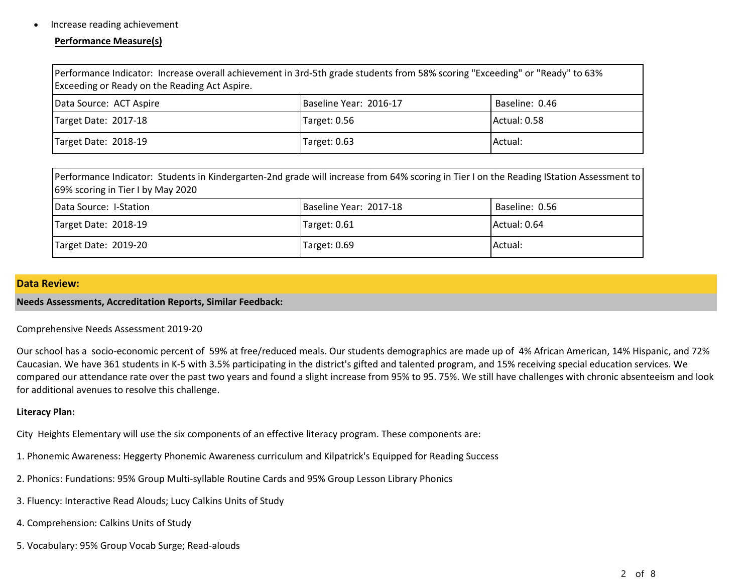#### • Increase reading achievement

#### **Performance Measure(s)**

| Performance Indicator: Increase overall achievement in 3rd-5th grade students from 58% scoring "Exceeding" or "Ready" to 63%<br>Exceeding or Ready on the Reading Act Aspire. |                        |                |
|-------------------------------------------------------------------------------------------------------------------------------------------------------------------------------|------------------------|----------------|
| Data Source: ACT Aspire                                                                                                                                                       | Baseline Year: 2016-17 | Baseline: 0.46 |
| Target Date: 2017-18                                                                                                                                                          | Target: 0.56           | Actual: 0.58   |
| Target Date: 2018-19                                                                                                                                                          | Target: 0.63           | Actual:        |

| Performance Indicator: Students in Kindergarten-2nd grade will increase from 64% scoring in Tier I on the Reading IStation Assessment to<br>69% scoring in Tier I by May 2020 |                        |                |
|-------------------------------------------------------------------------------------------------------------------------------------------------------------------------------|------------------------|----------------|
| Data Source: I-Station                                                                                                                                                        | Baseline Year: 2017-18 | Baseline: 0.56 |
| Target Date: 2018-19                                                                                                                                                          | Target: 0.61           | Actual: 0.64   |
| Target Date: 2019-20                                                                                                                                                          | Target: 0.69           | Actual:        |

#### **Data Review:**

**Needs Assessments, Accreditation Reports, Similar Feedback:**

#### Comprehensive Needs Assessment 2019-20

Our school has a socio-economic percent of 59% at free/reduced meals. Our students demographics are made up of 4% African American, 14% Hispanic, and 72% Caucasian. We have 361 students in K-5 with 3.5% participating in the district's gifted and talented program, and 15% receiving special education services. We compared our attendance rate over the past two years and found a slight increase from 95% to 95. 75%. We still have challenges with chronic absenteeism and look for additional avenues to resolve this challenge.

#### **Literacy Plan:**

City Heights Elementary will use the six components of an effective literacy program. These components are:

- 1. Phonemic Awareness: Heggerty Phonemic Awareness curriculum and Kilpatrick's Equipped for Reading Success
- 2. Phonics: Fundations: 95% Group Multi-syllable Routine Cards and 95% Group Lesson Library Phonics
- 3. Fluency: Interactive Read Alouds; Lucy Calkins Units of Study
- 4. Comprehension: Calkins Units of Study
- 5. Vocabulary: 95% Group Vocab Surge; Read-alouds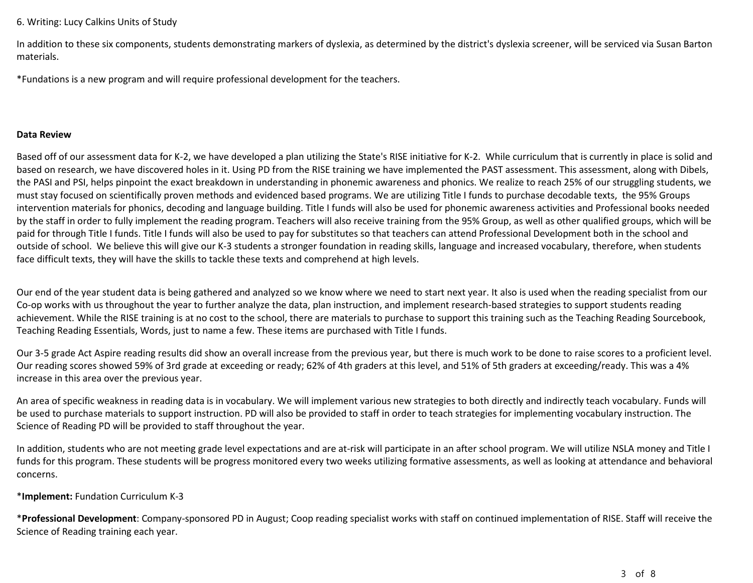#### 6. Writing: Lucy Calkins Units of Study

In addition to these six components, students demonstrating markers of dyslexia, as determined by the district's dyslexia screener, will be serviced via Susan Barton materials.

\*Fundations is a new program and will require professional development for the teachers.

#### **Data Review**

Based off of our assessment data for K-2, we have developed a plan utilizing the State's RISE initiative for K-2. While curriculum that is currently in place is solid and based on research, we have discovered holes in it. Using PD from the RISE training we have implemented the PAST assessment. This assessment, along with Dibels, the PASI and PSI, helps pinpoint the exact breakdown in understanding in phonemic awareness and phonics. We realize to reach 25% of our struggling students, we must stay focused on scientifically proven methods and evidenced based programs. We are utilizing Title I funds to purchase decodable texts, the 95% Groups intervention materials for phonics, decoding and language building. Title I funds will also be used for phonemic awareness activities and Professional books needed by the staff in order to fully implement the reading program. Teachers will also receive training from the 95% Group, as well as other qualified groups, which will be paid for through Title I funds. Title I funds will also be used to pay for substitutes so that teachers can attend Professional Development both in the school and outside of school. We believe this will give our K-3 students a stronger foundation in reading skills, language and increased vocabulary, therefore, when students face difficult texts, they will have the skills to tackle these texts and comprehend at high levels.

Our end of the year student data is being gathered and analyzed so we know where we need to start next year. It also is used when the reading specialist from our Co-op works with us throughout the year to further analyze the data, plan instruction, and implement research-based strategies to support students reading achievement. While the RISE training is at no cost to the school, there are materials to purchase to support this training such as the Teaching Reading Sourcebook, Teaching Reading Essentials, Words, just to name a few. These items are purchased with Title I funds.

Our 3-5 grade Act Aspire reading results did show an overall increase from the previous year, but there is much work to be done to raise scores to a proficient level. Our reading scores showed 59% of 3rd grade at exceeding or ready; 62% of 4th graders at this level, and 51% of 5th graders at exceeding/ready. This was a 4% increase in this area over the previous year.

An area of specific weakness in reading data is in vocabulary. We will implement various new strategies to both directly and indirectly teach vocabulary. Funds will be used to purchase materials to support instruction. PD will also be provided to staff in order to teach strategies for implementing vocabulary instruction. The Science of Reading PD will be provided to staff throughout the year.

In addition, students who are not meeting grade level expectations and are at-risk will participate in an after school program. We will utilize NSLA money and Title I funds for this program. These students will be progress monitored every two weeks utilizing formative assessments, as well as looking at attendance and behavioral concerns.

## \***Implement:** Fundation Curriculum K-3

\***Professional Development**: Company-sponsored PD in August; Coop reading specialist works with staff on continued implementation of RISE. Staff will receive the Science of Reading training each year.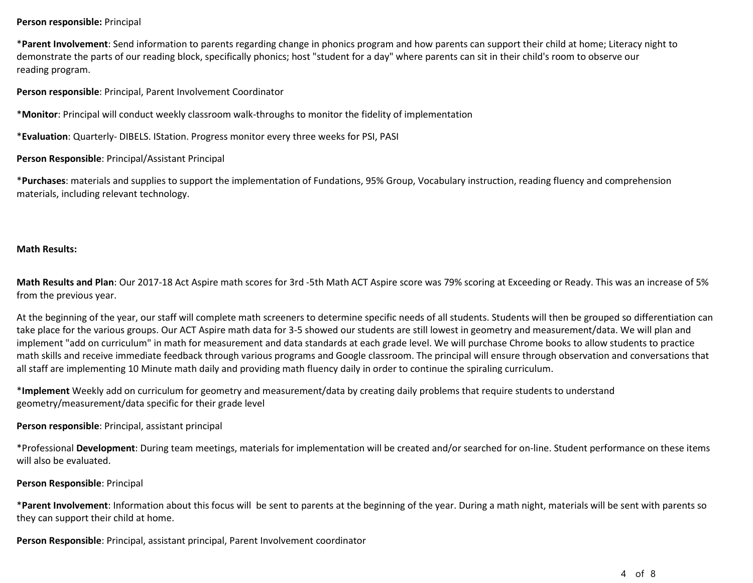#### **Person responsible:** Principal

\***Parent Involvement**: Send information to parents regarding change in phonics program and how parents can support their child at home; Literacy night to demonstrate the parts of our reading block, specifically phonics; host "student for a day" where parents can sit in their child's room to observe our reading program.

**Person responsible**: Principal, Parent Involvement Coordinator

\***Monitor**: Principal will conduct weekly classroom walk-throughs to monitor the fidelity of implementation

\***Evaluation**: Quarterly- DIBELS. IStation. Progress monitor every three weeks for PSI, PASI

#### **Person Responsible**: Principal/Assistant Principal

\***Purchases**: materials and supplies to support the implementation of Fundations, 95% Group, Vocabulary instruction, reading fluency and comprehension materials, including relevant technology.

#### **Math Results:**

**Math Results and Plan**: Our 2017-18 Act Aspire math scores for 3rd -5th Math ACT Aspire score was 79% scoring at Exceeding or Ready. This was an increase of 5% from the previous year.

At the beginning of the year, our staff will complete math screeners to determine specific needs of all students. Students will then be grouped so differentiation can take place for the various groups. Our ACT Aspire math data for 3-5 showed our students are still lowest in geometry and measurement/data. We will plan and implement "add on curriculum" in math for measurement and data standards at each grade level. We will purchase Chrome books to allow students to practice math skills and receive immediate feedback through various programs and Google classroom. The principal will ensure through observation and conversations that all staff are implementing 10 Minute math daily and providing math fluency daily in order to continue the spiraling curriculum.

\***Implement** Weekly add on curriculum for geometry and measurement/data by creating daily problems that require students to understand geometry/measurement/data specific for their grade level

#### **Person responsible**: Principal, assistant principal

\*Professional **Development**: During team meetings, materials for implementation will be created and/or searched for on-line. Student performance on these items will also be evaluated.

#### **Person Responsible**: Principal

\***Parent Involvement**: Information about this focus will be sent to parents at the beginning of the year. During a math night, materials will be sent with parents so they can support their child at home.

**Person Responsible**: Principal, assistant principal, Parent Involvement coordinator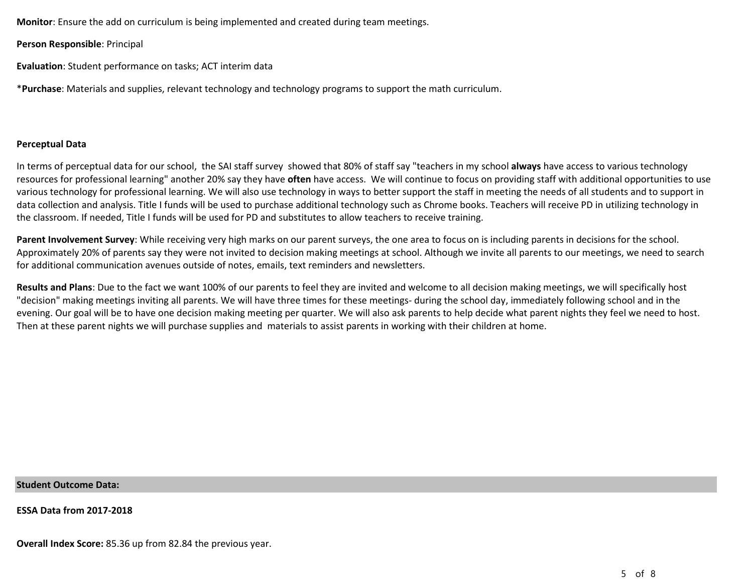**Monitor**: Ensure the add on curriculum is being implemented and created during team meetings.

**Person Responsible**: Principal

**Evaluation**: Student performance on tasks; ACT interim data

\***Purchase**: Materials and supplies, relevant technology and technology programs to support the math curriculum.

#### **Perceptual Data**

In terms of perceptual data for our school, the SAI staff survey showed that 80% of staff say "teachers in my school **always** have access to various technology resources for professional learning" another 20% say they have **often** have access. We will continue to focus on providing staff with additional opportunities to use various technology for professional learning. We will also use technology in ways to better support the staff in meeting the needs of all students and to support in data collection and analysis. Title I funds will be used to purchase additional technology such as Chrome books. Teachers will receive PD in utilizing technology in the classroom. If needed, Title I funds will be used for PD and substitutes to allow teachers to receive training.

**Parent Involvement Survey**: While receiving very high marks on our parent surveys, the one area to focus on is including parents in decisions for the school. Approximately 20% of parents say they were not invited to decision making meetings at school. Although we invite all parents to our meetings, we need to search for additional communication avenues outside of notes, emails, text reminders and newsletters.

**Results and Plans**: Due to the fact we want 100% of our parents to feel they are invited and welcome to all decision making meetings, we will specifically host "decision" making meetings inviting all parents. We will have three times for these meetings- during the school day, immediately following school and in the evening. Our goal will be to have one decision making meeting per quarter. We will also ask parents to help decide what parent nights they feel we need to host. Then at these parent nights we will purchase supplies and materials to assist parents in working with their children at home.

#### **Student Outcome Data:**

**ESSA Data from 2017-2018**

**Overall Index Score:** 85.36 up from 82.84 the previous year.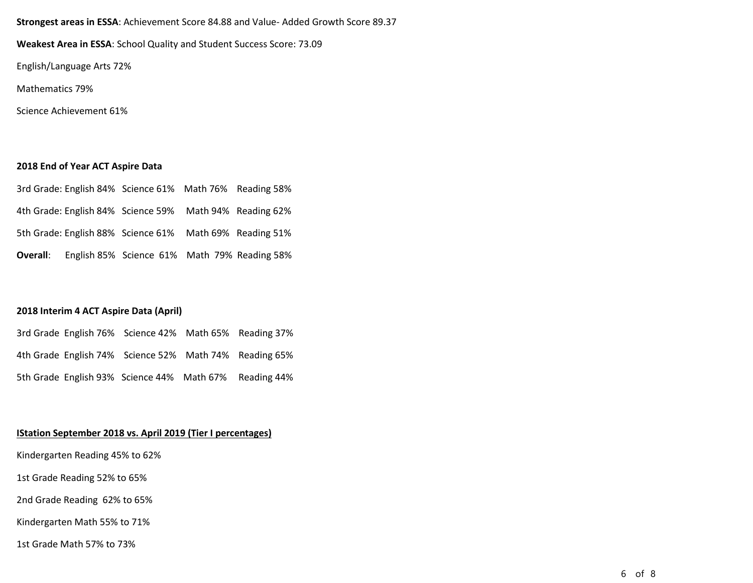# **Strongest areas in ESSA**: Achievement Score 84.88 and Value- Added Growth Score 89.37

**Weakest Area in ESSA**: School Quality and Student Success Score: 73.09

English/Language Arts 72%

Mathematics 79%

Science Achievement 61%

# **2018 End of Year ACT Aspire Data**

|  | 3rd Grade: English 84% Science 61% Math 76% Reading 58% |  |
|--|---------------------------------------------------------|--|
|  | 4th Grade: English 84% Science 59% Math 94% Reading 62% |  |
|  | 5th Grade: English 88% Science 61% Math 69% Reading 51% |  |
|  | Overall: English 85% Science 61% Math 79% Reading 58%   |  |

## **2018 Interim 4 ACT Aspire Data (April)**

|  | 3rd Grade English 76% Science 42% Math 65% Reading 37% |  |
|--|--------------------------------------------------------|--|
|  | 4th Grade English 74% Science 52% Math 74% Reading 65% |  |
|  | 5th Grade English 93% Science 44% Math 67% Reading 44% |  |

# **IStation September 2018 vs. April 2019 (Tier I percentages)**

Kindergarten Reading 45% to 62%

1st Grade Reading 52% to 65%

2nd Grade Reading 62% to 65%

Kindergarten Math 55% to 71%

1st Grade Math 57% to 73%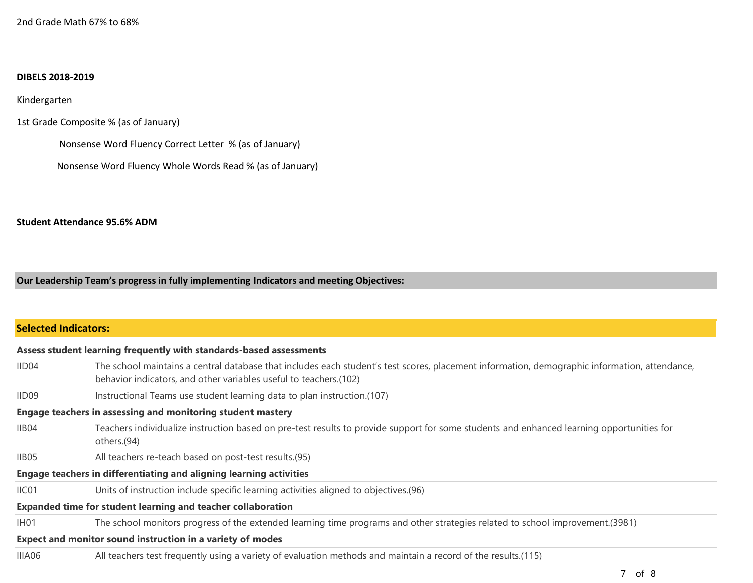#### **DIBELS 2018-2019**

Kindergarten

1st Grade Composite % (as of January)

Nonsense Word Fluency Correct Letter % (as of January)

Nonsense Word Fluency Whole Words Read % (as of January)

## **Student Attendance 95.6% ADM**

**Our Leadership Team's progress in fully implementing Indicators and meeting Objectives:**

| <b>Selected Indicators:</b> |                                                                                                                                                                                                                    |
|-----------------------------|--------------------------------------------------------------------------------------------------------------------------------------------------------------------------------------------------------------------|
|                             | Assess student learning frequently with standards-based assessments                                                                                                                                                |
| IID04                       | The school maintains a central database that includes each student's test scores, placement information, demographic information, attendance,<br>behavior indicators, and other variables useful to teachers.(102) |
| IID09                       | Instructional Teams use student learning data to plan instruction.(107)                                                                                                                                            |
|                             | <b>Engage teachers in assessing and monitoring student mastery</b>                                                                                                                                                 |
| IIB04                       | Teachers individualize instruction based on pre-test results to provide support for some students and enhanced learning opportunities for<br>others.(94)                                                           |
| IIB05                       | All teachers re-teach based on post-test results.(95)                                                                                                                                                              |
|                             | Engage teachers in differentiating and aligning learning activities                                                                                                                                                |
| IIC <sub>01</sub>           | Units of instruction include specific learning activities aligned to objectives. (96)                                                                                                                              |
|                             | <b>Expanded time for student learning and teacher collaboration</b>                                                                                                                                                |
| IH <sub>01</sub>            | The school monitors progress of the extended learning time programs and other strategies related to school improvement. (3981)                                                                                     |
|                             | Expect and monitor sound instruction in a variety of modes                                                                                                                                                         |
| IIIA06                      | All teachers test frequently using a variety of evaluation methods and maintain a record of the results.(115)                                                                                                      |